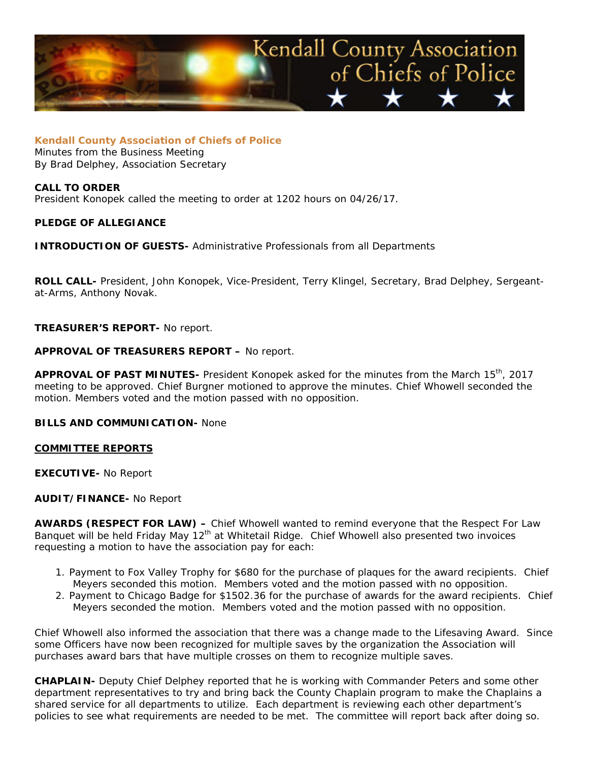

**Kendall County Association of Chiefs of Police** Minutes from the Business Meeting By Brad Delphey, Association Secretary

## **CALL TO ORDER**

President Konopek called the meeting to order at 1202 hours on 04/26/17.

## **PLEDGE OF ALLEGIANCE**

**INTRODUCTION OF GUESTS-** Administrative Professionals from all Departments

**ROLL CALL-** President, John Konopek, Vice-President, Terry Klingel, Secretary, Brad Delphey, Sergeantat-Arms, Anthony Novak.

**TREASURER'S REPORT-** No report.

## **APPROVAL OF TREASURERS REPORT –** No report.

**APPROVAL OF PAST MINUTES-** President Konopek asked for the minutes from the March 15th, 2017 meeting to be approved. Chief Burgner motioned to approve the minutes. Chief Whowell seconded the motion. Members voted and the motion passed with no opposition.

# **BILLS AND COMMUNICATION-** None

#### **COMMITTEE REPORTS**

**EXECUTIVE-** No Report

### **AUDIT/FINANCE-** No Report

**AWARDS (RESPECT FOR LAW) –** Chief Whowell wanted to remind everyone that the Respect For Law Banquet will be held Friday May 12<sup>th</sup> at Whitetail Ridge. Chief Whowell also presented two invoices requesting a motion to have the association pay for each:

- 1. Payment to Fox Valley Trophy for \$680 for the purchase of plaques for the award recipients. Chief Meyers seconded this motion. Members voted and the motion passed with no opposition.
- 2. Payment to Chicago Badge for \$1502.36 for the purchase of awards for the award recipients. Chief Meyers seconded the motion. Members voted and the motion passed with no opposition.

Chief Whowell also informed the association that there was a change made to the Lifesaving Award. Since some Officers have now been recognized for multiple saves by the organization the Association will purchases award bars that have multiple crosses on them to recognize multiple saves.

**CHAPLAIN-** Deputy Chief Delphey reported that he is working with Commander Peters and some other department representatives to try and bring back the County Chaplain program to make the Chaplains a shared service for all departments to utilize. Each department is reviewing each other department's policies to see what requirements are needed to be met. The committee will report back after doing so.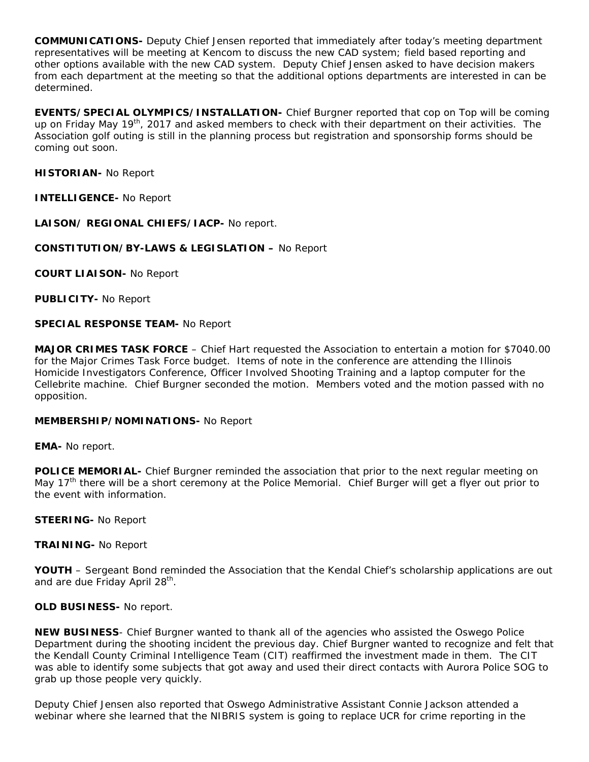**COMMUNICATIONS-** Deputy Chief Jensen reported that immediately after today's meeting department representatives will be meeting at Kencom to discuss the new CAD system; field based reporting and other options available with the new CAD system. Deputy Chief Jensen asked to have decision makers from each department at the meeting so that the additional options departments are interested in can be determined.

**EVENTS/SPECIAL OLYMPICS/INSTALLATION-** Chief Burgner reported that cop on Top will be coming up on Friday May 19<sup>th</sup>, 2017 and asked members to check with their department on their activities. The Association golf outing is still in the planning process but registration and sponsorship forms should be coming out soon.

**HISTORIAN-** No Report

**INTELLIGENCE-** No Report

**LAISON/ REGIONAL CHIEFS/IACP-** No report.

**CONSTITUTION/BY-LAWS & LEGISLATION –** No Report

**COURT LIAISON-** No Report

**PUBLICITY-** No Report

## **SPECIAL RESPONSE TEAM-** No Report

**MAJOR CRIMES TASK FORCE** – Chief Hart requested the Association to entertain a motion for \$7040.00 for the Major Crimes Task Force budget. Items of note in the conference are attending the Illinois Homicide Investigators Conference, Officer Involved Shooting Training and a laptop computer for the Cellebrite machine. Chief Burgner seconded the motion. Members voted and the motion passed with no opposition.

#### **MEMBERSHIP/NOMINATIONS-** No Report

**EMA-** No report.

**POLICE MEMORIAL-** Chief Burgner reminded the association that prior to the next regular meeting on May  $17<sup>th</sup>$  there will be a short ceremony at the Police Memorial. Chief Burger will get a flyer out prior to the event with information.

**STEERING-** No Report

**TRAINING-** No Report

YOUTH – Sergeant Bond reminded the Association that the Kendal Chief's scholarship applications are out and are due Friday April 28<sup>th</sup>.

**OLD BUSINESS-** No report.

**NEW BUSINESS**- Chief Burgner wanted to thank all of the agencies who assisted the Oswego Police Department during the shooting incident the previous day. Chief Burgner wanted to recognize and felt that the Kendall County Criminal Intelligence Team (CIT) reaffirmed the investment made in them. The CIT was able to identify some subjects that got away and used their direct contacts with Aurora Police SOG to grab up those people very quickly.

Deputy Chief Jensen also reported that Oswego Administrative Assistant Connie Jackson attended a webinar where she learned that the NIBRIS system is going to replace UCR for crime reporting in the